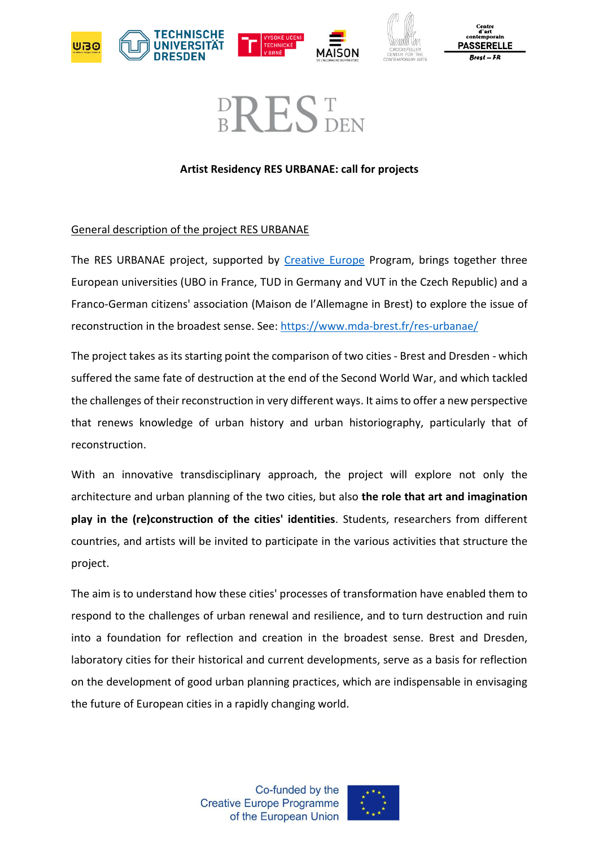

Centre u arı<br>itemporair **PASSERELLE** 

# **BREST**

### **Artist Residency RES URBANAE: call for projects**

## General description of the project RES URBANAE

The RES URBANAE project, supported by [Creative Europe](https://culture.ec.europa.eu/creative-europe) Program, brings together three European universities (UBO in France, TUD in Germany and VUT in the Czech Republic) and a Franco-German citizens' association (Maison de l'Allemagne in Brest) to explore the issue of reconstruction in the broadest sense. See:<https://www.mda-brest.fr/res-urbanae/>

The project takes as its starting point the comparison of two cities - Brest and Dresden - which suffered the same fate of destruction at the end of the Second World War, and which tackled the challenges of their reconstruction in very different ways. It aims to offer a new perspective that renews knowledge of urban history and urban historiography, particularly that of reconstruction.

With an innovative transdisciplinary approach, the project will explore not only the architecture and urban planning of the two cities, but also **the role that art and imagination play in the (re)construction of the cities' identities**. Students, researchers from different countries, and artists will be invited to participate in the various activities that structure the project.

The aim is to understand how these cities' processes of transformation have enabled them to respond to the challenges of urban renewal and resilience, and to turn destruction and ruin into a foundation for reflection and creation in the broadest sense. Brest and Dresden, laboratory cities for their historical and current developments, serve as a basis for reflection on the development of good urban planning practices, which are indispensable in envisaging the future of European cities in a rapidly changing world.

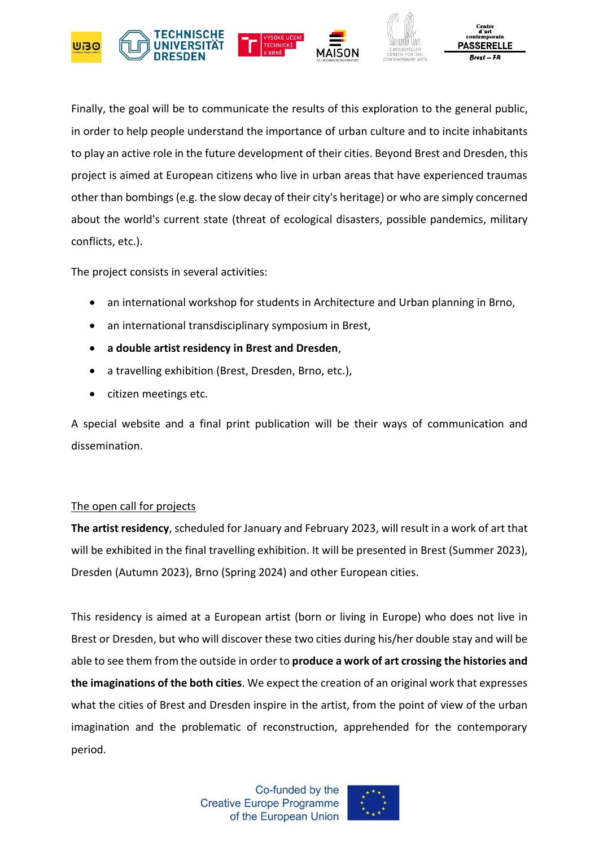

Finally, the goal will be to communicate the results of this exploration to the general public, in order to help people understand the importance of urban culture and to incite inhabitants to play an active role in the future development of their cities. Beyond Brest and Dresden, this project is aimed at European citizens who live in urban areas that have experienced traumas other than bombings (e.g. the slow decay of their city's heritage) or who are simply concerned about the world's current state (threat of ecological disasters, possible pandemics, military conflicts, etc.).

The project consists in several activities:

- an international workshop for students in Architecture and Urban planning in Brno,
- an international transdisciplinary symposium in Brest,
- **a double artist residency in Brest and Dresden**,
- a travelling exhibition (Brest, Dresden, Brno, etc.),
- citizen meetings etc.

A special website and a final print publication will be their ways of communication and dissemination.

### The open call for projects

**The artist residency**, scheduled for January and February 2023, will result in a work of art that will be exhibited in the final travelling exhibition. It will be presented in Brest (Summer 2023), Dresden (Autumn 2023), Brno (Spring 2024) and other European cities.

This residency is aimed at a European artist (born or living in Europe) who does not live in Brest or Dresden, but who will discover these two cities during his/her double stay and will be able to see them from the outside in order to **produce a work of art crossing the histories and the imaginations of the both cities**. We expect the creation of an original work that expresses what the cities of Brest and Dresden inspire in the artist, from the point of view of the urban imagination and the problematic of reconstruction, apprehended for the contemporary period.

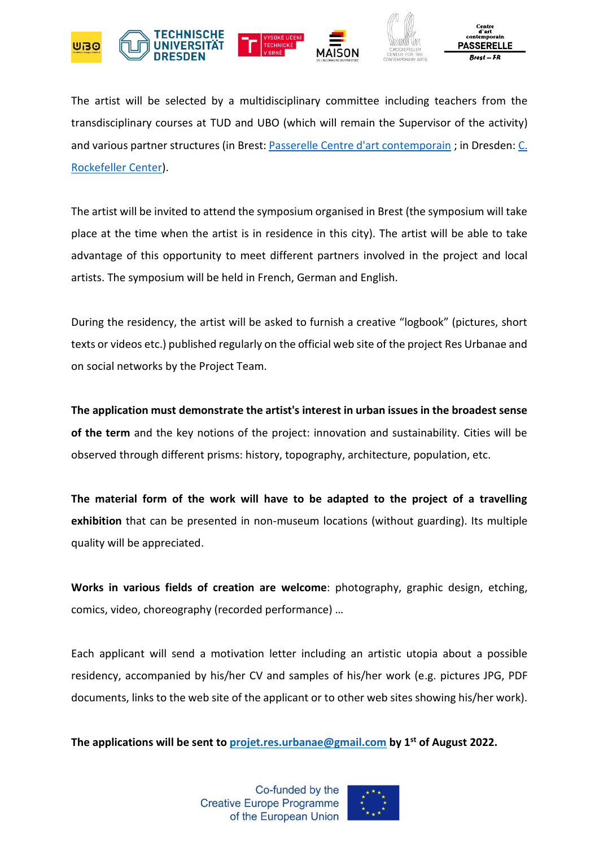

The artist will be selected by a multidisciplinary committee including teachers from the transdisciplinary courses at TUD and UBO (which will remain the Supervisor of the activity) and various partner structures (in Brest: [Passerelle Centre d'art contemporain](https://www.cac-passerelle.com/) ; in Dresden: C. [Rockefeller Center\)](https://www.crockefeller.org/).

The artist will be invited to attend the symposium organised in Brest (the symposium will take place at the time when the artist is in residence in this city). The artist will be able to take advantage of this opportunity to meet different partners involved in the project and local artists. The symposium will be held in French, German and English.

During the residency, the artist will be asked to furnish a creative "logbook" (pictures, short texts or videos etc.) published regularly on the official web site of the project Res Urbanae and on social networks by the Project Team.

**The application must demonstrate the artist's interest in urban issues in the broadest sense of the term** and the key notions of the project: innovation and sustainability. Cities will be observed through different prisms: history, topography, architecture, population, etc.

**The material form of the work will have to be adapted to the project of a travelling exhibition** that can be presented in non-museum locations (without guarding). Its multiple quality will be appreciated.

**Works in various fields of creation are welcome**: photography, graphic design, etching, comics, video, choreography (recorded performance) …

Each applicant will send a motivation letter including an artistic utopia about a possible residency, accompanied by his/her CV and samples of his/her work (e.g. pictures JPG, PDF documents, links to the web site of the applicant or to other web sites showing his/her work).

**The applications will be sent to [projet.res.urbanae@gmail.com](mailto:projet.res.urbanae@gmail.com) by 1st of August 2022.**

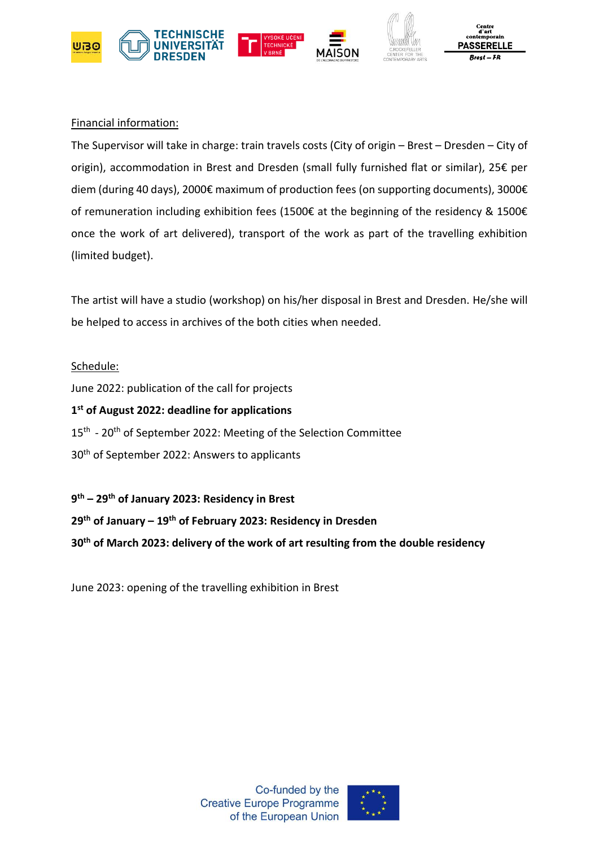

#### Financial information:

The Supervisor will take in charge: train travels costs (City of origin – Brest – Dresden – City of origin), accommodation in Brest and Dresden (small fully furnished flat or similar), 25€ per diem (during 40 days), 2000€ maximum of production fees (on supporting documents), 3000€ of remuneration including exhibition fees (1500€ at the beginning of the residency & 1500€ once the work of art delivered), transport of the work as part of the travelling exhibition (limited budget).

The artist will have a studio (workshop) on his/her disposal in Brest and Dresden. He/she will be helped to access in archives of the both cities when needed.

#### Schedule:

June 2022: publication of the call for projects **1 st of August 2022: deadline for applications** 15<sup>th</sup> - 20<sup>th</sup> of September 2022: Meeting of the Selection Committee 30<sup>th</sup> of September 2022: Answers to applicants

**9 th – 29th of January 2023: Residency in Brest 29th of January – 19th of February 2023: Residency in Dresden 30th of March 2023: delivery of the work of art resulting from the double residency**

June 2023: opening of the travelling exhibition in Brest

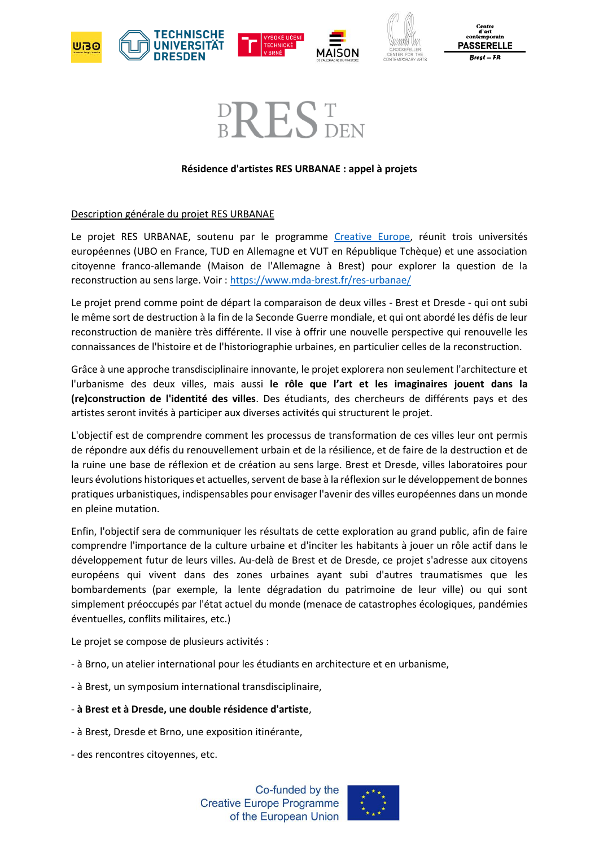



# $\mathsf{P}\mathsf{H}\mathsf{S}\mathsf{H}$  den

#### **Résidence d'artistes RES URBANAE : appel à projets**

#### Description générale du projet RES URBANAE

Le projet RES URBANAE, soutenu par le programme [Creative Europe,](https://culture.ec.europa.eu/creative-europe) réunit trois universités européennes (UBO en France, TUD en Allemagne et VUT en République Tchèque) et une association citoyenne franco-allemande (Maison de l'Allemagne à Brest) pour explorer la question de la reconstruction au sens large. Voir [: https://www.mda-brest.fr/res-urbanae/](https://www.mda-brest.fr/res-urbanae/)

Le projet prend comme point de départ la comparaison de deux villes - Brest et Dresde - qui ont subi le même sort de destruction à la fin de la Seconde Guerre mondiale, et qui ont abordé les défis de leur reconstruction de manière très différente. Il vise à offrir une nouvelle perspective qui renouvelle les connaissances de l'histoire et de l'historiographie urbaines, en particulier celles de la reconstruction.

Grâce à une approche transdisciplinaire innovante, le projet explorera non seulement l'architecture et l'urbanisme des deux villes, mais aussi **le rôle que l'art et les imaginaires jouent dans la (re)construction de l'identité des villes**. Des étudiants, des chercheurs de différents pays et des artistes seront invités à participer aux diverses activités qui structurent le projet.

L'objectif est de comprendre comment les processus de transformation de ces villes leur ont permis de répondre aux défis du renouvellement urbain et de la résilience, et de faire de la destruction et de la ruine une base de réflexion et de création au sens large. Brest et Dresde, villes laboratoires pour leurs évolutions historiques et actuelles, servent de base à la réflexion sur le développement de bonnes pratiques urbanistiques, indispensables pour envisager l'avenir des villes européennes dans un monde en pleine mutation.

Enfin, l'objectif sera de communiquer les résultats de cette exploration au grand public, afin de faire comprendre l'importance de la culture urbaine et d'inciter les habitants à jouer un rôle actif dans le développement futur de leurs villes. Au-delà de Brest et de Dresde, ce projet s'adresse aux citoyens européens qui vivent dans des zones urbaines ayant subi d'autres traumatismes que les bombardements (par exemple, la lente dégradation du patrimoine de leur ville) ou qui sont simplement préoccupés par l'état actuel du monde (menace de catastrophes écologiques, pandémies éventuelles, conflits militaires, etc.)

Le projet se compose de plusieurs activités :

- à Brno, un atelier international pour les étudiants en architecture et en urbanisme,
- à Brest, un symposium international transdisciplinaire,
- **à Brest et à Dresde, une double résidence d'artiste**,
- à Brest, Dresde et Brno, une exposition itinérante,
- des rencontres citoyennes, etc.

Co-funded by the **Creative Europe Programme** of the European Union

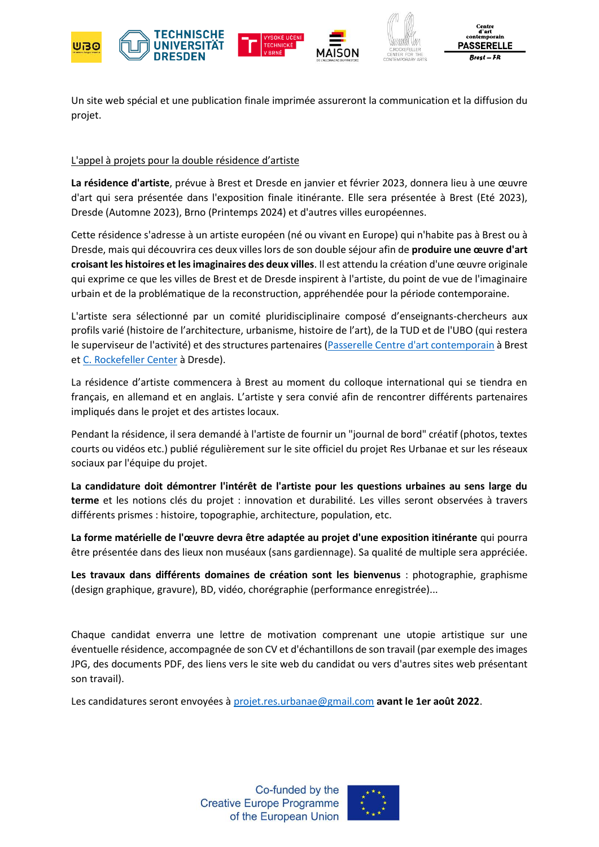





Un site web spécial et une publication finale imprimée assureront la communication et la diffusion du projet.

#### L'appel à projets pour la double résidence d'artiste

**La résidence d'artiste**, prévue à Brest et Dresde en janvier et février 2023, donnera lieu à une œuvre d'art qui sera présentée dans l'exposition finale itinérante. Elle sera présentée à Brest (Eté 2023), Dresde (Automne 2023), Brno (Printemps 2024) et d'autres villes européennes.

Cette résidence s'adresse à un artiste européen (né ou vivant en Europe) qui n'habite pas à Brest ou à Dresde, mais qui découvrira ces deux villes lors de son double séjour afin de **produire une œuvre d'art croisant les histoires et les imaginaires des deux villes**. Il est attendu la création d'une œuvre originale qui exprime ce que les villes de Brest et de Dresde inspirent à l'artiste, du point de vue de l'imaginaire urbain et de la problématique de la reconstruction, appréhendée pour la période contemporaine.

L'artiste sera sélectionné par un comité pluridisciplinaire composé d'enseignants-chercheurs aux profils varié (histoire de l'architecture, urbanisme, histoire de l'art), de la TUD et de l'UBO (qui restera le superviseur de l'activité) et des structures partenaires [\(Passerelle Centre d'art contemporain](https://www.cac-passerelle.com/) à Brest e[t C. Rockefeller Center](https://www.crockefeller.org/) à Dresde).

La résidence d'artiste commencera à Brest au moment du colloque international qui se tiendra en français, en allemand et en anglais. L'artiste y sera convié afin de rencontrer différents partenaires impliqués dans le projet et des artistes locaux.

Pendant la résidence, il sera demandé à l'artiste de fournir un "journal de bord" créatif (photos, textes courts ou vidéos etc.) publié régulièrement sur le site officiel du projet Res Urbanae et sur les réseaux sociaux par l'équipe du projet.

**La candidature doit démontrer l'intérêt de l'artiste pour les questions urbaines au sens large du terme** et les notions clés du projet : innovation et durabilité. Les villes seront observées à travers différents prismes : histoire, topographie, architecture, population, etc.

**La forme matérielle de l'œuvre devra être adaptée au projet d'une exposition itinérante** qui pourra être présentée dans des lieux non muséaux (sans gardiennage). Sa qualité de multiple sera appréciée.

**Les travaux dans différents domaines de création sont les bienvenus** : photographie, graphisme (design graphique, gravure), BD, vidéo, chorégraphie (performance enregistrée)...

Chaque candidat enverra une lettre de motivation comprenant une utopie artistique sur une éventuelle résidence, accompagnée de son CV et d'échantillons de son travail (par exemple des images JPG, des documents PDF, des liens vers le site web du candidat ou vers d'autres sites web présentant son travail).

Les candidatures seront envoyées à [projet.res.urbanae@gmail.com](mailto:projet.res.urbanae@gmail.com) **avant le 1er août 2022**.

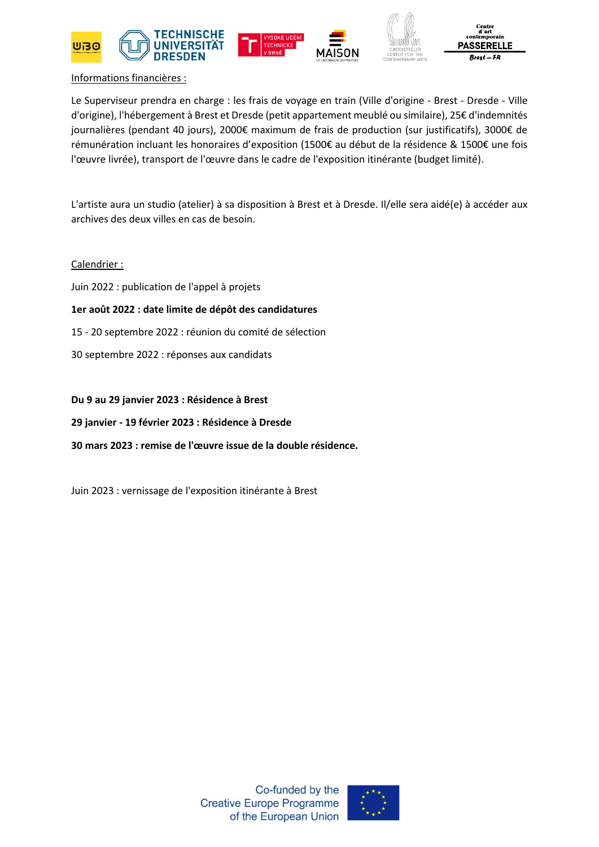

#### Informations financières :

Le Superviseur prendra en charge : les frais de voyage en train (Ville d'origine - Brest - Dresde - Ville d'origine), l'hébergement à Brest et Dresde (petit appartement meublé ou similaire), 25€ d'indemnités journalières (pendant 40 jours), 2000€ maximum de frais de production (sur justificatifs), 3000€ de rémunération incluant les honoraires d'exposition (1500€ au début de la résidence & 1500€ une fois l'œuvre livrée), transport de l'œuvre dans le cadre de l'exposition itinérante (budget limité).

L'artiste aura un studio (atelier) à sa disposition à Brest et à Dresde. Il/elle sera aidé(e) à accéder aux archives des deux villes en cas de besoin.

#### Calendrier :

Juin 2022 : publication de l'appel à projets

#### **1er août 2022 : date limite de dépôt des candidatures**

- 15 20 septembre 2022 : réunion du comité de sélection
- 30 septembre 2022 : réponses aux candidats

#### **Du 9 au 29 janvier 2023 : Résidence à Brest**

**29 janvier - 19 février 2023 : Résidence à Dresde**

**30 mars 2023 : remise de l'œuvre issue de la double résidence.**

Juin 2023 : vernissage de l'exposition itinérante à Brest

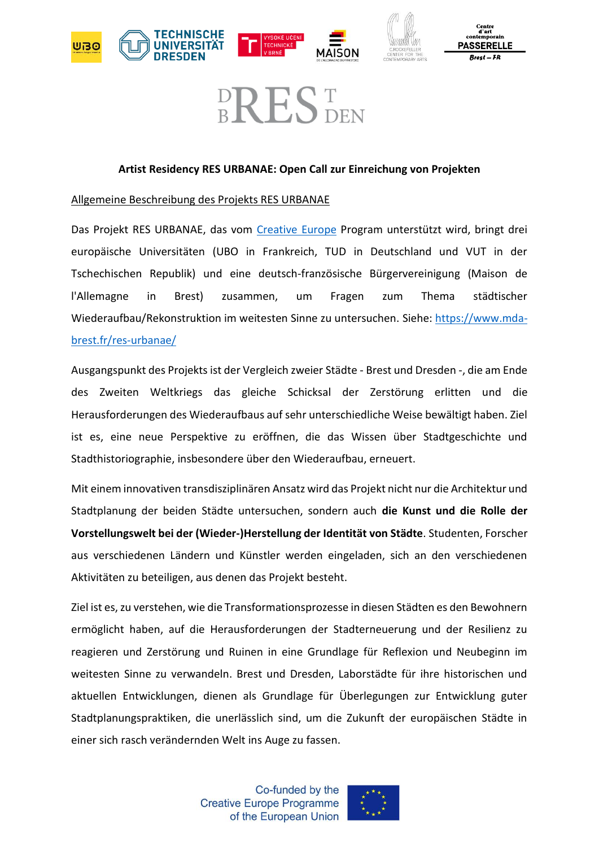



Centre d'art<br>ontemporain: **PASSERELLE** 

## **BREST**

#### **Artist Residency RES URBANAE: Open Call zur Einreichung von Projekten**

#### Allgemeine Beschreibung des Projekts RES URBANAE

Das Projekt RES URBANAE, das vom [Creative Europe](https://culture.ec.europa.eu/creative-europe) Program unterstützt wird, bringt drei europäische Universitäten (UBO in Frankreich, TUD in Deutschland und VUT in der Tschechischen Republik) und eine deutsch-französische Bürgervereinigung (Maison de l'Allemagne in Brest) zusammen, um Fragen zum Thema städtischer Wiederaufbau/Rekonstruktion im weitesten Sinne zu untersuchen. Siehe: [https://www.mda](https://www.mda-brest.fr/res-urbanae/)[brest.fr/res-urbanae/](https://www.mda-brest.fr/res-urbanae/)

Ausgangspunkt des Projekts ist der Vergleich zweier Städte - Brest und Dresden -, die am Ende des Zweiten Weltkriegs das gleiche Schicksal der Zerstörung erlitten und die Herausforderungen des Wiederaufbaus auf sehr unterschiedliche Weise bewältigt haben. Ziel ist es, eine neue Perspektive zu eröffnen, die das Wissen über Stadtgeschichte und Stadthistoriographie, insbesondere über den Wiederaufbau, erneuert.

Mit einem innovativen transdisziplinären Ansatz wird das Projekt nicht nur die Architektur und Stadtplanung der beiden Städte untersuchen, sondern auch **die Kunst und die Rolle der Vorstellungswelt bei der (Wieder-)Herstellung der Identität von Städte**. Studenten, Forscher aus verschiedenen Ländern und Künstler werden eingeladen, sich an den verschiedenen Aktivitäten zu beteiligen, aus denen das Projekt besteht.

Ziel ist es, zu verstehen, wie die Transformationsprozesse in diesen Städten es den Bewohnern ermöglicht haben, auf die Herausforderungen der Stadterneuerung und der Resilienz zu reagieren und Zerstörung und Ruinen in eine Grundlage für Reflexion und Neubeginn im weitesten Sinne zu verwandeln. Brest und Dresden, Laborstädte für ihre historischen und aktuellen Entwicklungen, dienen als Grundlage für Überlegungen zur Entwicklung guter Stadtplanungspraktiken, die unerlässlich sind, um die Zukunft der europäischen Städte in einer sich rasch verändernden Welt ins Auge zu fassen.

> Co-funded by the **Creative Europe Programme** of the European Union

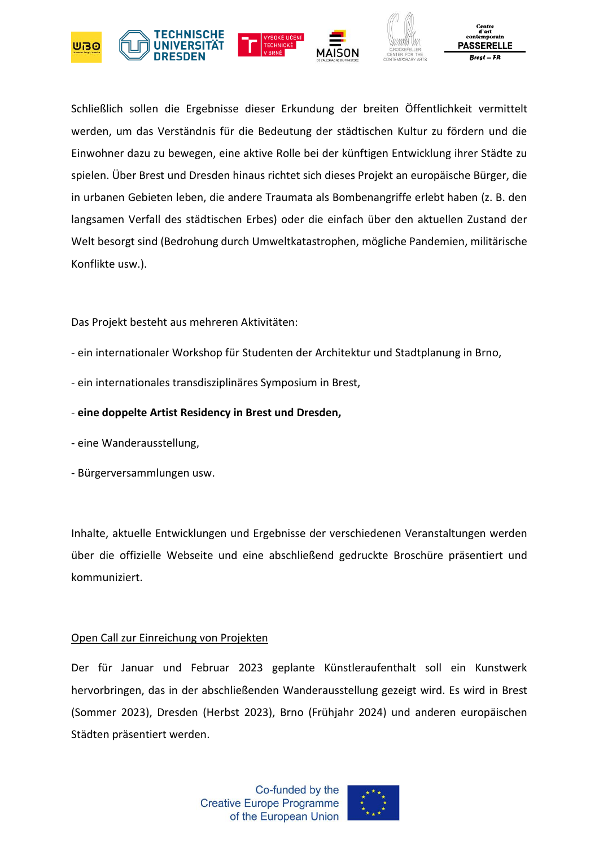

Schließlich sollen die Ergebnisse dieser Erkundung der breiten Öffentlichkeit vermittelt werden, um das Verständnis für die Bedeutung der städtischen Kultur zu fördern und die Einwohner dazu zu bewegen, eine aktive Rolle bei der künftigen Entwicklung ihrer Städte zu spielen. Über Brest und Dresden hinaus richtet sich dieses Projekt an europäische Bürger, die in urbanen Gebieten leben, die andere Traumata als Bombenangriffe erlebt haben (z. B. den langsamen Verfall des städtischen Erbes) oder die einfach über den aktuellen Zustand der Welt besorgt sind (Bedrohung durch Umweltkatastrophen, mögliche Pandemien, militärische Konflikte usw.).

Das Projekt besteht aus mehreren Aktivitäten:

- ein internationaler Workshop für Studenten der Architektur und Stadtplanung in Brno,
- ein internationales transdisziplinäres Symposium in Brest,

#### - **eine doppelte Artist Residency in Brest und Dresden,**

- eine Wanderausstellung,
- Bürgerversammlungen usw.

Inhalte, aktuelle Entwicklungen und Ergebnisse der verschiedenen Veranstaltungen werden über die offizielle Webseite und eine abschließend gedruckte Broschüre präsentiert und kommuniziert.

#### Open Call zur Einreichung von Projekten

Der für Januar und Februar 2023 geplante Künstleraufenthalt soll ein Kunstwerk hervorbringen, das in der abschließenden Wanderausstellung gezeigt wird. Es wird in Brest (Sommer 2023), Dresden (Herbst 2023), Brno (Frühjahr 2024) und anderen europäischen Städten präsentiert werden.

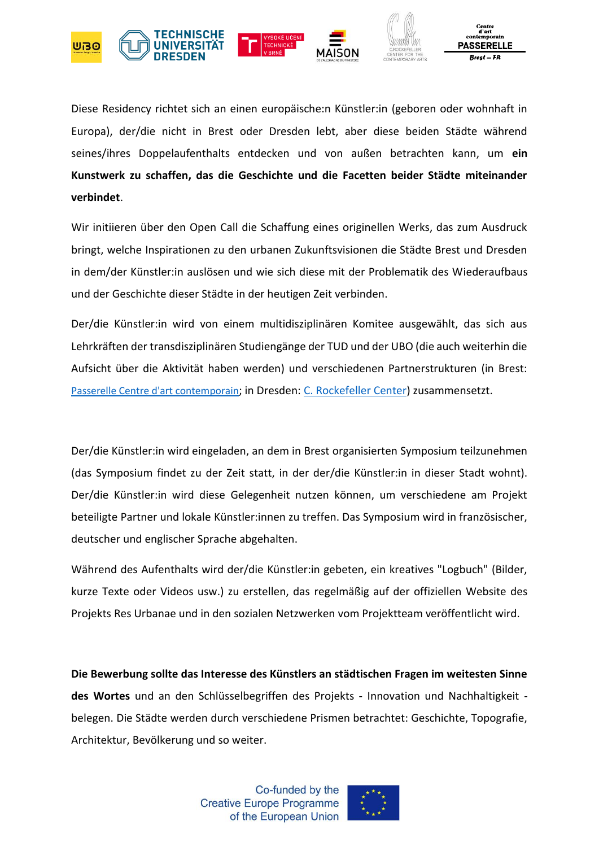

Diese Residency richtet sich an einen europäische:n Künstler:in (geboren oder wohnhaft in Europa), der/die nicht in Brest oder Dresden lebt, aber diese beiden Städte während seines/ihres Doppelaufenthalts entdecken und von außen betrachten kann, um **ein Kunstwerk zu schaffen, das die Geschichte und die Facetten beider Städte miteinander verbindet**.

Wir initiieren über den Open Call die Schaffung eines originellen Werks, das zum Ausdruck bringt, welche Inspirationen zu den urbanen Zukunftsvisionen die Städte Brest und Dresden in dem/der Künstler:in auslösen und wie sich diese mit der Problematik des Wiederaufbaus und der Geschichte dieser Städte in der heutigen Zeit verbinden.

Der/die Künstler:in wird von einem multidisziplinären Komitee ausgewählt, das sich aus Lehrkräften der transdisziplinären Studiengänge der TUD und der UBO (die auch weiterhin die Aufsicht über die Aktivität haben werden) und verschiedenen Partnerstrukturen (in Brest: [Passerelle Centre d'art contemporain](https://www.cac-passerelle.com/); in Dresden: [C. Rockefeller Center\)](https://www.crockefeller.org/) zusammensetzt.

Der/die Künstler:in wird eingeladen, an dem in Brest organisierten Symposium teilzunehmen (das Symposium findet zu der Zeit statt, in der der/die Künstler:in in dieser Stadt wohnt). Der/die Künstler:in wird diese Gelegenheit nutzen können, um verschiedene am Projekt beteiligte Partner und lokale Künstler:innen zu treffen. Das Symposium wird in französischer, deutscher und englischer Sprache abgehalten.

Während des Aufenthalts wird der/die Künstler:in gebeten, ein kreatives "Logbuch" (Bilder, kurze Texte oder Videos usw.) zu erstellen, das regelmäßig auf der offiziellen Website des Projekts Res Urbanae und in den sozialen Netzwerken vom Projektteam veröffentlicht wird.

**Die Bewerbung sollte das Interesse des Künstlers an städtischen Fragen im weitesten Sinne des Wortes** und an den Schlüsselbegriffen des Projekts - Innovation und Nachhaltigkeit belegen. Die Städte werden durch verschiedene Prismen betrachtet: Geschichte, Topografie, Architektur, Bevölkerung und so weiter.

> Co-funded by the **Creative Europe Programme** of the European Union

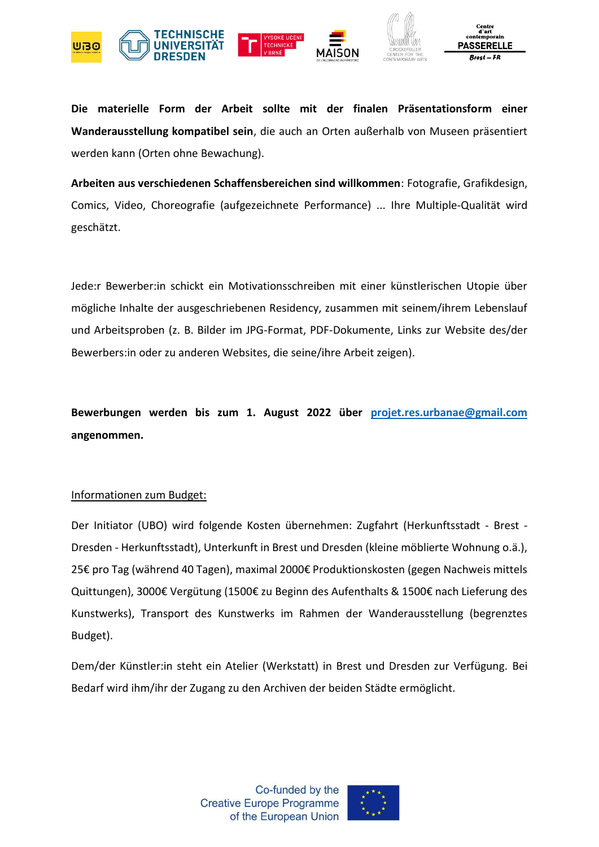

**Die materielle Form der Arbeit sollte mit der finalen Präsentationsform einer Wanderausstellung kompatibel sein**, die auch an Orten außerhalb von Museen präsentiert werden kann (Orten ohne Bewachung).

**Arbeiten aus verschiedenen Schaffensbereichen sind willkommen**: Fotografie, Grafikdesign, Comics, Video, Choreografie (aufgezeichnete Performance) ... Ihre Multiple-Qualität wird geschätzt.

Jede:r Bewerber:in schickt ein Motivationsschreiben mit einer künstlerischen Utopie über mögliche Inhalte der ausgeschriebenen Residency, zusammen mit seinem/ihrem Lebenslauf und Arbeitsproben (z. B. Bilder im JPG-Format, PDF-Dokumente, Links zur Website des/der Bewerbers:in oder zu anderen Websites, die seine/ihre Arbeit zeigen).

**Bewerbungen werden bis zum 1. August 2022 über [projet.res.urbanae@gmail.com](mailto:projet.res.urbanae@gmail.com) angenommen.**

#### Informationen zum Budget:

Der Initiator (UBO) wird folgende Kosten übernehmen: Zugfahrt (Herkunftsstadt - Brest - Dresden - Herkunftsstadt), Unterkunft in Brest und Dresden (kleine möblierte Wohnung o.ä.), 25€ pro Tag (während 40 Tagen), maximal 2000€ Produktionskosten (gegen Nachweis mittels Quittungen), 3000€ Vergütung (1500€ zu Beginn des Aufenthalts & 1500€ nach Lieferung des Kunstwerks), Transport des Kunstwerks im Rahmen der Wanderausstellung (begrenztes Budget).

Dem/der Künstler:in steht ein Atelier (Werkstatt) in Brest und Dresden zur Verfügung. Bei Bedarf wird ihm/ihr der Zugang zu den Archiven der beiden Städte ermöglicht.